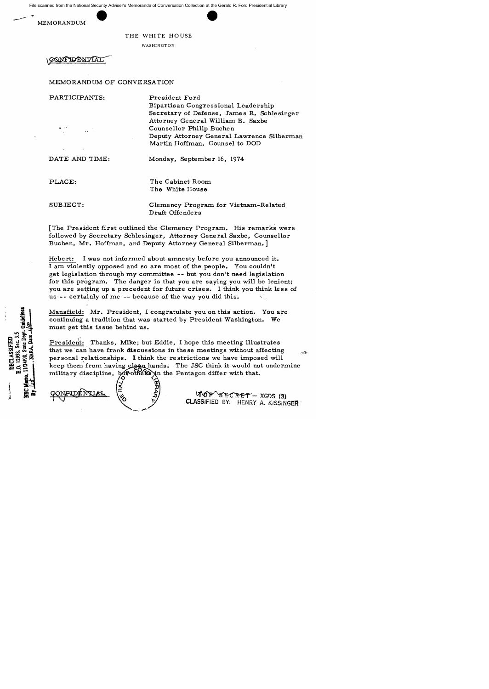File scanned from the National Security Adviser's Memoranda of Conversation Collection at the Gerald R. Ford Presidential Library





WASHINGTON

GONFYLLNTIAT

MEMORANDUM OF CONVERSATION

PARTICIPANTS:

President Ford Bipartisan Congressional Leadership Secretary of Defense, James R. Schlesinger Attorney General William B. Saxbe Counse llor Philip Buche n Deputy Attorney General Lawrence Silberman Martin Hoffman, Counsel to DOD

DATE AND TIME:

Monday, September 16, 1974

PLACE:

The Cabinet Room The White House

SUBJECT:

E.O. 12958, Sec. 3.5

DECLASSIFIED

State Dep

11/24/98,

NARA,

Clemency Program for Vietnam-Related Draft Offenders

[The Pre sident first outlined the Clemency Program. His remarks were followed by Secretary Schlesinger, Attorney General Saxbe, Counsellor Buchen, Mr. Hoffman, and Deputy Attorney General Silberman.]

Hebert: I was not informed about amnesty before you announced it. I am violently opposed and so are most of the people. You couldn't get legislation through my committee -- but you don't need legislation for this program. The danger is that you are saying you will be lenient; you are setting up a precedent for future crises. I think you think less of us -- certainly of me -- because of the way you did this.

Mansfield: Mr. President, I congratulate you on this action. You are continuing a tradition that was started by President Washington. We must get this issue behind us.

President: Thanks, Mike; but Eddie, I hope this meeting illustrates that we can have frank discussions in these meetings without affecting فكالتهم personal relationships. I think the restrictions we have imposed will keep them from having clean hands. The JSC think it would not undermine military discipline,  $b$  of others in the Pentagon differ with that.



 $WOP'SECRET - XGDS(3)$ CLASSIFIED *BY:* HENRY A. KISSINGER·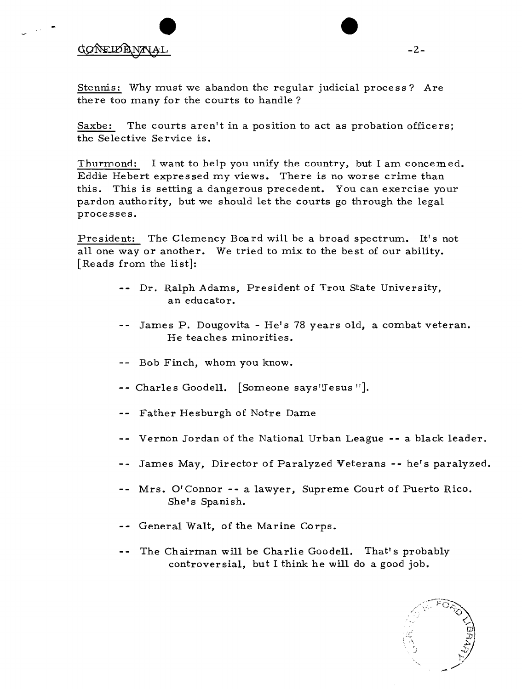## extending to the control of the control of the control of the control of the control of the control of the control of the control of the control of the control of the control of the control of the control of the control of

Stennis: Why must we abandon the regular judicial process? Are there too many for the courts to handle?

Saxbe: The courts aren't in a position to act as probation officers; the Selective Service is.

Thurmond: I want to help you unify the country, but I am concemed. Eddie Hebert expressed my views. There is no worse crime than this. This is setting a dangerous precedent. You can exercise your pardon authority, but we should let the courts go through the legal processes.

President: The Clemency Board will be a broad spectrum. It's not all one way or another. We tried to mix to the best of our ability. [Reads from the list]:

- -- Dr. Ralph Adams, President of Trou State University, an educator.
- James P. Dougovita He's 78 years old, a combat veteran. He teaches minorities.
- -- Bob Finch, whom you know.
- -- Charles Goodell. [Someone says'Jesus "].
- -- Father Hesburgh of Notre Dame
- Vernon Jordan of the National Urban League -- a black leader.
- James May, Director of Paralyzed Veterans **--** he's paralyzed.
- Mrs. O'Connor **--** a lawyer, Supreme Court of Puerto Rico. She's Spanish.
- -- General Walt, of the Marine Corps.
- -- The Chairman will be Charlie Goodell. That's probably controversial, but I think he will do a good job.

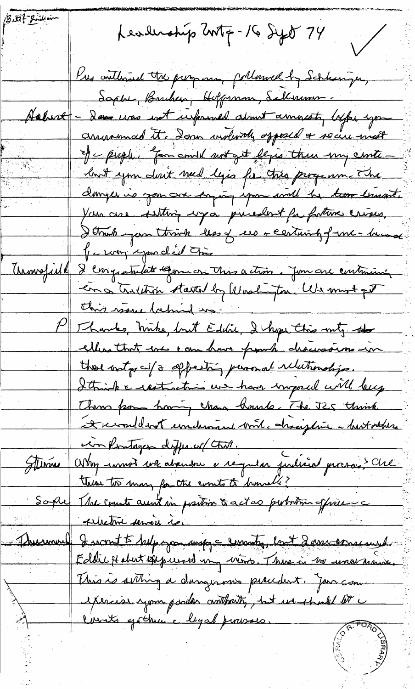Buttle Brillin Leadership Write - 16 Syst 74  $\bigg/$ Kres contlimed the progress, pollowed by Schlessiger, Saphe, Burchen, Hoffman, Sellmon . Achire - Dan was not urprimed about amniety life, you anument to down indevity opposed + socie mest of c puppe, "for could not get legis there my cente. but you don't need ly a for this program The danger is you are enjoying your will be too trust. You are setting cryos present for fature crises. I think you think less of us - certainly from- human Je way you d'il Chie Uronofield 8 congratulate Gomes this action. Jun are continuing en a tritition started by Washington, We must get this wave behind us. P Thanks, mike, but Editic, I hope this mity the ellers that ever can have from he discussions in those outgoing offerting personal relationships. I think a restraction are have imposed will beg Them from howing chan hands. The JES think A revendant underward bord. chaciptive - butathers er Pontagen defense (that. Sterne Ostry innot we abandon a requisi judicial provoca? Che these to many for the counts to homell? Sophe The count aunt in postion & actes pertomina officiens sibilitive service is I wont to help you want a common but I among west. Premie Eddie Hebert expressed un vient. There is no una craine This is setting a dangerous pracedent. Jan com exercise your porder contraity, but we should be l'arrits gottant e legal provoco.